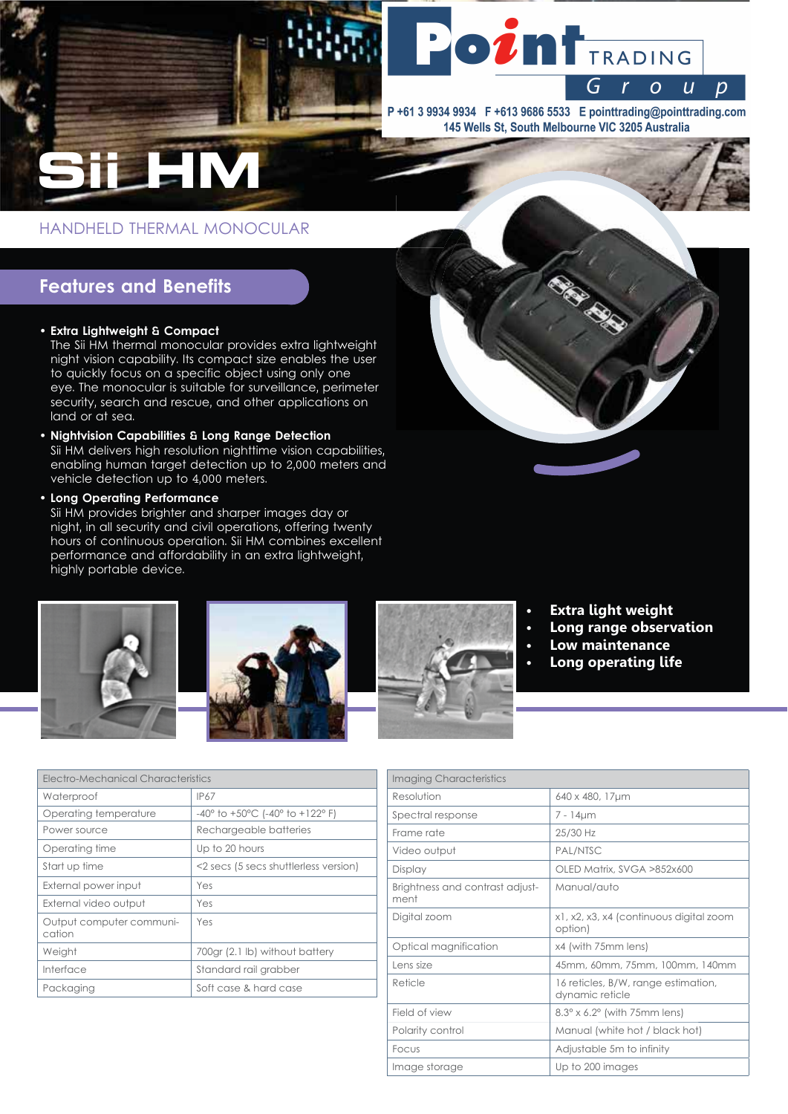

P+61 3 9934 9934 F +613 9686 5533 E pointtrading@pointtrading.com 145 Wells St, South Melbourne VIC 3205 Australia

HANDHELD THERMAL MONOCULAR

# **Features and Benefits**

## • Extra Lightweight & Compact

The Sii HM thermal monocular provides extra lightweight night vision capability. Its compact size enables the user to quickly focus on a specific object using only one eye. The monocular is suitable for surveillance, perimeter security, search and rescue, and other applications on land or at sea.

• Nightvision Capabilities & Long Range Detection Sii HM delivers high resolution nighttime vision capabilities, enabling human target detection up to 2,000 meters and vehicle detection up to 4,000 meters.

· Long Operating Performance

Sii HM provides brighter and sharper images day or night, in all security and civil operations, offering twenty hours of continuous operation. Sii HM combines excellent performance and affordability in an extra lightweight, highly portable device.







- **Extra light weight**
- Long range observation
- Low maintenance
- Long operating life

| Electro-Mechanical Characteristics |                                                             |
|------------------------------------|-------------------------------------------------------------|
| Waterproof                         | IP67                                                        |
| Operating temperature              | $-40^{\circ}$ to $+50^{\circ}$ C (-40° to $+122^{\circ}$ F) |
| Power source                       | Rechargeable batteries                                      |
| Operating time                     | Up to 20 hours                                              |
| Start up time                      | <2 secs (5 secs shuttlerless version)                       |
| External power input               | Yes                                                         |
| External video output              | Yes                                                         |
| Output computer communi-<br>cation | Yes                                                         |
| Weight                             | 700gr (2.1 lb) without battery                              |
| Interface                          | Standard rail grabber                                       |
| Packaging                          | Soft case & hard case                                       |

| <b>Imaging Characteristics</b>          |                                                        |
|-----------------------------------------|--------------------------------------------------------|
| Resolution                              | 640 x 480, 17µm                                        |
| Spectral response                       | $7 - 14 \mu m$                                         |
| Frame rate                              | 25/30 Hz                                               |
| Video output                            | PAL/NTSC                                               |
| Display                                 | OLED Matrix, SVGA >852x600                             |
| Brightness and contrast adjust-<br>ment | Manual/auto                                            |
| Digital zoom                            | x1, x2, x3, x4 (continuous digital zoom<br>option)     |
| Optical magnification                   | x4 (with 75mm lens)                                    |
| Lens size                               | 45mm, 60mm, 75mm, 100mm, 140mm                         |
| Reticle                                 | 16 reticles, B/W, range estimation,<br>dynamic reticle |
| Field of view                           | $8.3^\circ \times 6.2^\circ$ (with 75mm lens)          |
| Polarity control                        | Manual (white hot / black hot)                         |
| Focus                                   | Adjustable 5m to infinity                              |
| Image storage                           | Up to 200 images                                       |